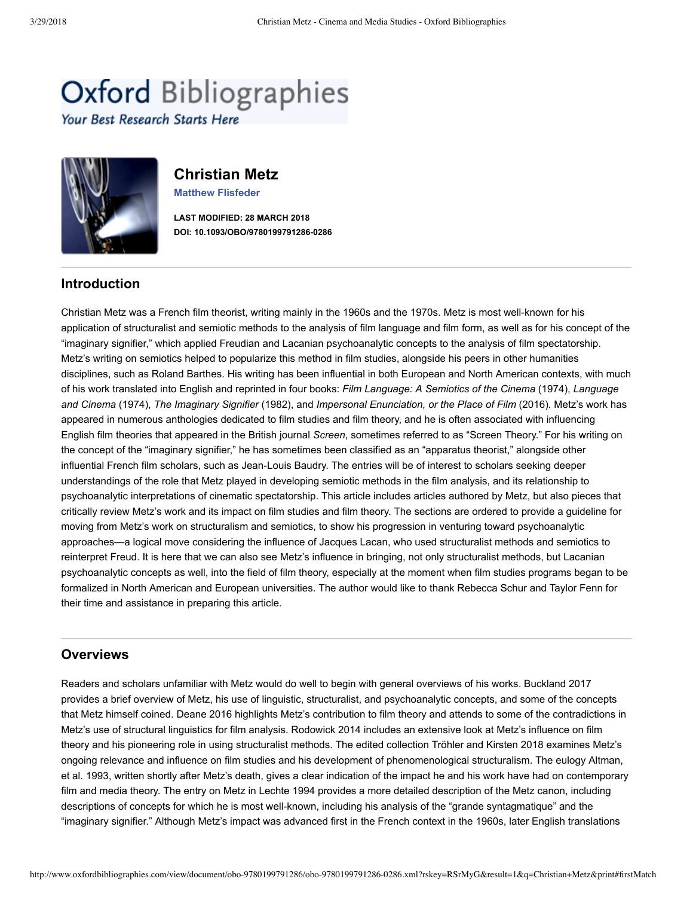# **Oxford Bibliographies**

Your Best Research Starts Here



# **Christian Metz**

**[Matthew Flisfeder](https://www.uwinnipeg.ca/rhetoric/faculty/matthew-flisfeder.html)**

**LAST MODIFIED: 28 MARCH 2018** DOI: 10.1093/OBO/9780199791286-0286

# **Introduction**

Christian Metz was a French film theorist, writing mainly in the 1960s and the 1970s. Metz is most well-known for his application of structuralist and semiotic methods to the analysis of film language and film form, as well as for his concept of the "imaginary signifier," which applied Freudian and Lacanian psychoanalytic concepts to the analysis of film spectatorship. Metz's writing on semiotics helped to popularize this method in film studies, alongside his peers in other humanities disciplines, such as Roland Barthes. His writing has been influential in both European and North American contexts, with much of his work translated into English and reprinted in four books: *Film Language: A Semiotics of the Cinema* (1974), *Language and Cinema* (1974), *The Imaginary Signifier* (1982), and *Impersonal Enunciation, or the Place of Film* (2016). Metz's work has appeared in numerous anthologies dedicated to film studies and film theory, and he is often associated with influencing English film theories that appeared in the British journal *Screen*, sometimes referred to as "Screen Theory." For his writing on the concept of the "imaginary signifier," he has sometimes been classified as an "apparatus theorist," alongside other influential French film scholars, such as Jean-Louis Baudry. The entries will be of interest to scholars seeking deeper understandings of the role that Metz played in developing semiotic methods in the film analysis, and its relationship to psychoanalytic interpretations of cinematic spectatorship. This article includes articles authored by Metz, but also pieces that critically review Metz's work and its impact on film studies and film theory. The sections are ordered to provide a guideline for moving from Metz's work on structuralism and semiotics, to show his progression in venturing toward psychoanalytic approaches—a logical move considering the influence of Jacques Lacan, who used structuralist methods and semiotics to reinterpret Freud. It is here that we can also see Metz's influence in bringing, not only structuralist methods, but Lacanian psychoanalytic concepts as well, into the field of film theory, especially at the moment when film studies programs began to be formalized in North American and European universities. The author would like to thank Rebecca Schur and Taylor Fenn for their time and assistance in preparing this article.

# **Overviews**

Readers and scholars unfamiliar with Metz would do well to begin with general overviews of his works. [Buckland 2017](http://www.oxfordbibliographies.com/view/document/obo-9780199791286/obo-9780199791286-0286.xml#obo-9780199791286-0286-bibItem-0002) provides a brief overview of Metz, his use of linguistic, structuralist, and psychoanalytic concepts, and some of the concepts that Metz himself coined. [Deane 2016](http://www.oxfordbibliographies.com/view/document/obo-9780199791286/obo-9780199791286-0286.xml#obo-9780199791286-0286-bibItem-0003) highlights Metz's contribution to film theory and attends to some of the contradictions in Metz's use of structural linguistics for film analysis. [Rodowick 2014](http://www.oxfordbibliographies.com/view/document/obo-9780199791286/obo-9780199791286-0286.xml#obo-9780199791286-0286-bibItem-0005) includes an extensive look at Metz's influence on film theory and his pioneering role in using structuralist methods. The edited collection [Tröhler and Kirsten 2018](http://www.oxfordbibliographies.com/view/document/obo-9780199791286/obo-9780199791286-0286.xml#obo-9780199791286-0286-bibItem-0007) examines Metz's [ongoing relevance and influence on film studies and his development of phenomenological structuralism. The eulogy Altman,](http://www.oxfordbibliographies.com/view/document/obo-9780199791286/obo-9780199791286-0286.xml#obo-9780199791286-0286-bibItem-0001) et al. 1993, written shortly after Metz's death, gives a clear indication of the impact he and his work have had on contemporary film and media theory. The entry on Metz in [Lechte 1994](http://www.oxfordbibliographies.com/view/document/obo-9780199791286/obo-9780199791286-0286.xml#obo-9780199791286-0286-bibItem-0004) provides a more detailed description of the Metz canon, including descriptions of concepts for which he is most well-known, including his analysis of the "grande syntagmatique" and the "imaginary signifier." Although Metz's impact was advanced first in the French context in the 1960s, later English translations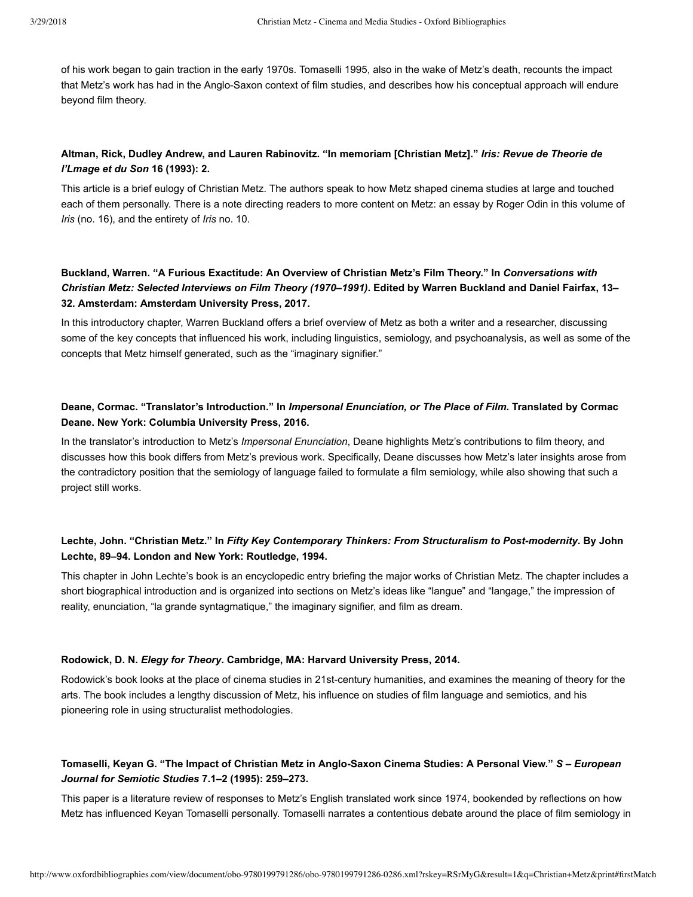of his work began to gain traction in the early 1970s. [Tomaselli 1995,](http://www.oxfordbibliographies.com/view/document/obo-9780199791286/obo-9780199791286-0286.xml#obo-9780199791286-0286-bibItem-0006) also in the wake of Metz's death, recounts the impact that Metz's work has had in the Anglo-Saxon context of film studies, and describes how his conceptual approach will endure beyond film theory.

# **Altman, Rick, Dudley Andrew, and Lauren Rabinovitz. "In memoriam [Christian Metz]."** *Iris: Revue de Theorie de l'Lmage et du Son* **16 (1993): 2.**

This article is a brief eulogy of Christian Metz. The authors speak to how Metz shaped cinema studies at large and touched each of them personally. There is a note directing readers to more content on Metz: an essay by Roger Odin in this volume of *Iris* (no. 16), and the entirety of *Iris* no. 10.

# **Buckland, Warren. "A Furious Exactitude: An Overview of Christian Metz's Film Theory." In** *Conversations with Christian Metz: Selected Interviews on Film Theory (1970–1991)***. Edited by Warren Buckland and Daniel Fairfax, 13– 32. Amsterdam: Amsterdam University Press, 2017.**

In this introductory chapter, Warren Buckland offers a brief overview of Metz as both a writer and a researcher, discussing some of the key concepts that influenced his work, including linguistics, semiology, and psychoanalysis, as well as some of the concepts that Metz himself generated, such as the "imaginary signifier."

# **Deane, Cormac. "Translator's Introduction." In** *Impersonal Enunciation, or The Place of Film***. Translated by Cormac Deane. New York: Columbia University Press, 2016.**

In the translator's introduction to Metz's *Impersonal Enunciation*, Deane highlights Metz's contributions to film theory, and discusses how this book differs from Metz's previous work. Specifically, Deane discusses how Metz's later insights arose from the contradictory position that the semiology of language failed to formulate a film semiology, while also showing that such a project still works.

# **Lechte, John. "Christian Metz." In** *Fifty Key Contemporary Thinkers: From Structuralism to Postmodernity***. By John Lechte, 89–94. London and New York: Routledge, 1994.**

This chapter in John Lechte's book is an encyclopedic entry briefing the major works of Christian Metz. The chapter includes a short biographical introduction and is organized into sections on Metz's ideas like "langue" and "langage," the impression of reality, enunciation, "la grande syntagmatique," the imaginary signifier, and film as dream.

#### **Rodowick, D. N.** *Elegy for Theory***. Cambridge, MA: Harvard University Press, 2014.**

Rodowick's book looks at the place of cinema studies in 21st-century humanities, and examines the meaning of theory for the arts. The book includes a lengthy discussion of Metz, his influence on studies of film language and semiotics, and his pioneering role in using structuralist methodologies.

# Tomaselli, Keyan G. "The Impact of Christian Metz in Anglo-Saxon Cinema Studies: A Personal View." *S – European Journal for Semiotic Studies* **7.1–2 (1995): 259–273.**

This paper is a literature review of responses to Metz's English translated work since 1974, bookended by reflections on how Metz has influenced Keyan Tomaselli personally. Tomaselli narrates a contentious debate around the place of film semiology in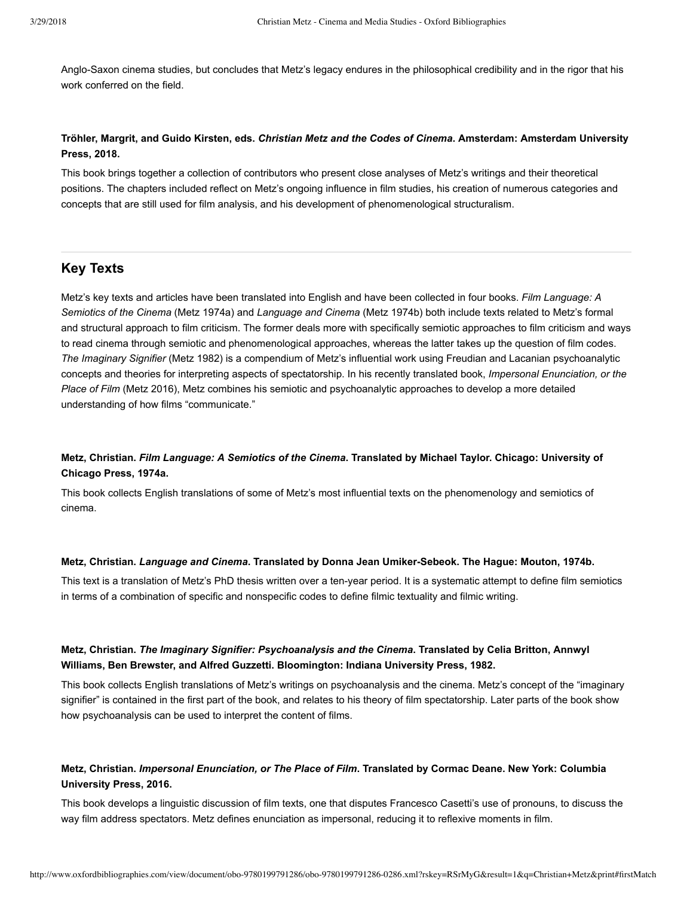Anglo-Saxon cinema studies, but concludes that Metz's legacy endures in the philosophical credibility and in the rigor that his work conferred on the field.

# **Tröhler, Margrit, and Guido Kirsten, eds.** *Christian Metz and the Codes of Cinema***. Amsterdam: Amsterdam University Press, 2018.**

This book brings together a collection of contributors who present close analyses of Metz's writings and their theoretical positions. The chapters included reflect on Metz's ongoing influence in film studies, his creation of numerous categories and concepts that are still used for film analysis, and his development of phenomenological structuralism.

# <span id="page-2-0"></span>**Key Texts**

Metz's key texts and articles have been translated into English and have been collected in four books. *Film Language: A Semiotics of the Cinema* [\(Metz 1974a](http://www.oxfordbibliographies.com/view/document/obo-9780199791286/obo-9780199791286-0286.xml#obo-9780199791286-0286-bibItem-0008)) and *Language and Cinema* ([Metz 1974b](http://www.oxfordbibliographies.com/view/document/obo-9780199791286/obo-9780199791286-0286.xml#obo-9780199791286-0286-bibItem-0009)) both include texts related to Metz's formal and structural approach to film criticism. The former deals more with specifically semiotic approaches to film criticism and ways to read cinema through semiotic and phenomenological approaches, whereas the latter takes up the question of film codes. *The Imaginary Signifier* [\(Metz 1982](http://www.oxfordbibliographies.com/view/document/obo-9780199791286/obo-9780199791286-0286.xml#obo-9780199791286-0286-bibItem-0010)) is a compendium of Metz's influential work using Freudian and Lacanian psychoanalytic concepts and theories for interpreting aspects of spectatorship. In his recently translated book, *Impersonal Enunciation, or the Place of Film* ([Metz 2016\)](http://www.oxfordbibliographies.com/view/document/obo-9780199791286/obo-9780199791286-0286.xml#obo-9780199791286-0286-bibItem-0011), Metz combines his semiotic and psychoanalytic approaches to develop a more detailed understanding of how films "communicate."

# **Metz, Christian.** *Film Language: A Semiotics of the Cinema***. Translated by Michael Taylor. Chicago: University of Chicago Press, 1974a.**

This book collects English translations of some of Metz's most influential texts on the phenomenology and semiotics of cinema.

#### **Metz, Christian.** *Language and Cinema***. Translated by Donna Jean UmikerSebeok. The Hague: Mouton, 1974b.**

This text is a translation of Metz's PhD thesis written over a ten-year period. It is a systematic attempt to define film semiotics in terms of a combination of specific and nonspecific codes to define filmic textuality and filmic writing.

# **Metz, Christian.** *The Imaginary Signifier: Psychoanalysis and the Cinema***. Translated by Celia Britton, Annwyl Williams, Ben Brewster, and Alfred Guzzetti. Bloomington: Indiana University Press, 1982.**

This book collects English translations of Metz's writings on psychoanalysis and the cinema. Metz's concept of the "imaginary signifier" is contained in the first part of the book, and relates to his theory of film spectatorship. Later parts of the book show how psychoanalysis can be used to interpret the content of films.

# **Metz, Christian.** *Impersonal Enunciation, or The Place of Film***. Translated by Cormac Deane. New York: Columbia University Press, 2016.**

This book develops a linguistic discussion of film texts, one that disputes Francesco Casetti's use of pronouns, to discuss the way film address spectators. Metz defines enunciation as impersonal, reducing it to reflexive moments in film.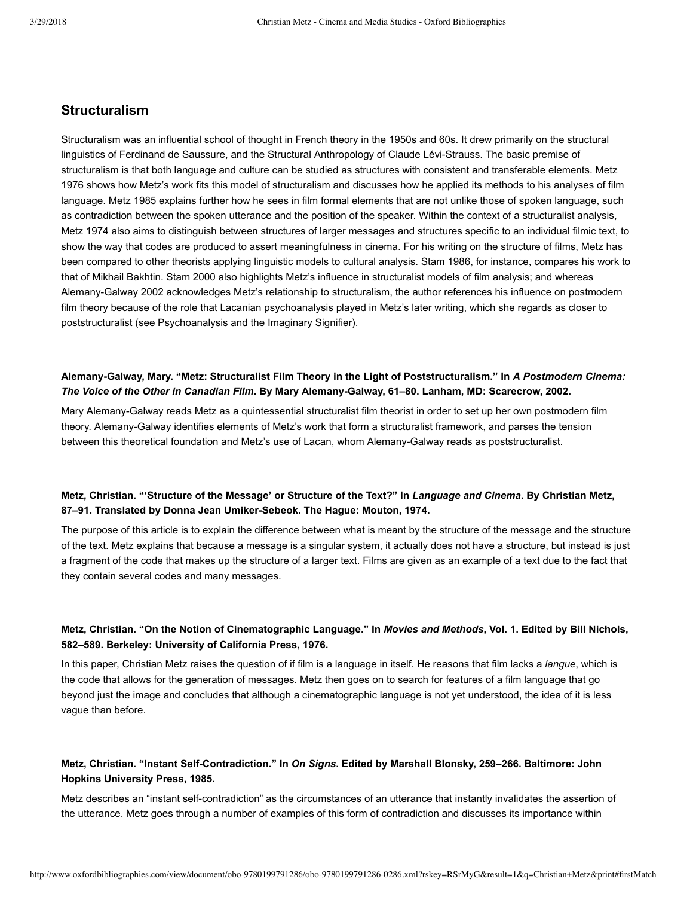# **Structuralism**

Structuralism was an influential school of thought in French theory in the 1950s and 60s. It drew primarily on the structural linguistics of Ferdinand de Saussure, and the Structural Anthropology of Claude Lévi-Strauss. The basic premise of structuralism is that both language and culture can be studied as structures with consistent and transferable elements. Metz [1976 shows how Metz's work fits this model of structuralism and discusses how he applied its methods to his analyses of film](http://www.oxfordbibliographies.com/view/document/obo-9780199791286/obo-9780199791286-0286.xml#obo-9780199791286-0286-bibItem-0014) language. [Metz 1985](http://www.oxfordbibliographies.com/view/document/obo-9780199791286/obo-9780199791286-0286.xml#obo-9780199791286-0286-bibItem-0015) explains further how he sees in film formal elements that are not unlike those of spoken language, such as contradiction between the spoken utterance and the position of the speaker. Within the context of a structuralist analysis, [Metz 1974](http://www.oxfordbibliographies.com/view/document/obo-9780199791286/obo-9780199791286-0286.xml#obo-9780199791286-0286-bibItem-0013) also aims to distinguish between structures of larger messages and structures specific to an individual filmic text, to show the way that codes are produced to assert meaningfulness in cinema. For his writing on the structure of films, Metz has been compared to other theorists applying linguistic models to cultural analysis. [Stam 1986,](http://www.oxfordbibliographies.com/view/document/obo-9780199791286/obo-9780199791286-0286.xml#obo-9780199791286-0286-bibItem-0016) for instance, compares his work to that of Mikhail Bakhtin. [Stam 2000](http://www.oxfordbibliographies.com/view/document/obo-9780199791286/obo-9780199791286-0286.xml#obo-9780199791286-0286-bibItem-0017) also highlights Metz's influence in structuralist models of film analysis; and whereas [AlemanyGalway 2002](http://www.oxfordbibliographies.com/view/document/obo-9780199791286/obo-9780199791286-0286.xml#obo-9780199791286-0286-bibItem-0012) acknowledges Metz's relationship to structuralism, the author references his influence on postmodern film theory because of the role that Lacanian psychoanalysis played in Metz's later writing, which she regards as closer to poststructuralist (see [Psychoanalysis and the Imaginary Signifier](#page-12-0)).

# **AlemanyGalway, Mary. "Metz: Structuralist Film Theory in the Light of Poststructuralism." In** *A Postmodern Cinema: The Voice of the Other in Canadian Film***. By Mary AlemanyGalway, 61–80. Lanham, MD: Scarecrow, 2002.**

Mary Alemany-Galway reads Metz as a quintessential structuralist film theorist in order to set up her own postmodern film theory. Alemany-Galway identifies elements of Metz's work that form a structuralist framework, and parses the tension between this theoretical foundation and Metz's use of Lacan, whom Alemany-Galway reads as poststructuralist.

# **Metz, Christian. "'Structure of the Message' or Structure of the Text?" In** *Language and Cinema***. By Christian Metz,** 87-91. Translated by Donna Jean Umiker-Sebeok. The Hague: Mouton, 1974.

The purpose of this article is to explain the difference between what is meant by the structure of the message and the structure of the text. Metz explains that because a message is a singular system, it actually does not have a structure, but instead is just a fragment of the code that makes up the structure of a larger text. Films are given as an example of a text due to the fact that they contain several codes and many messages.

# **Metz, Christian. "On the Notion of Cinematographic Language." In** *Movies and Methods***, Vol. 1. Edited by Bill Nichols, 582–589. Berkeley: University of California Press, 1976.**

In this paper, Christian Metz raises the question of if film is a language in itself. He reasons that film lacks a *langue*, which is the code that allows for the generation of messages. Metz then goes on to search for features of a film language that go beyond just the image and concludes that although a cinematographic language is not yet understood, the idea of it is less vague than before.

# **Metz, Christian. "Instant SelfContradiction." In** *On Signs***. Edited by Marshall Blonsky, 259–266. Baltimore: John Hopkins University Press, 1985.**

Metz describes an "instant self-contradiction" as the circumstances of an utterance that instantly invalidates the assertion of the utterance. Metz goes through a number of examples of this form of contradiction and discusses its importance within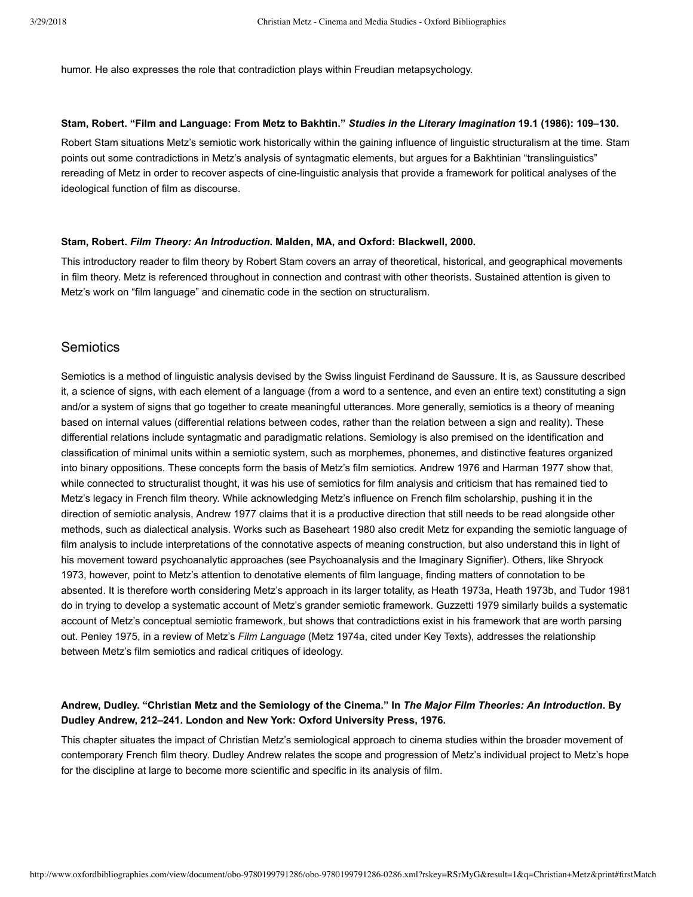humor. He also expresses the role that contradiction plays within Freudian metapsychology.

#### **Stam, Robert. "Film and Language: From Metz to Bakhtin."** *Studies in the Literary Imagination* **19.1 (1986): 109–130.**

Robert Stam situations Metz's semiotic work historically within the gaining influence of linguistic structuralism at the time. Stam points out some contradictions in Metz's analysis of syntagmatic elements, but argues for a Bakhtinian "translinguistics" rereading of Metz in order to recover aspects of cine-linguistic analysis that provide a framework for political analyses of the ideological function of film as discourse.

#### **Stam, Robert.** *Film Theory: An Introduction***. Malden, MA, and Oxford: Blackwell, 2000.**

This introductory reader to film theory by Robert Stam covers an array of theoretical, historical, and geographical movements in film theory. Metz is referenced throughout in connection and contrast with other theorists. Sustained attention is given to Metz's work on "film language" and cinematic code in the section on structuralism.

# <span id="page-4-0"></span>**Semiotics**

Semiotics is a method of linguistic analysis devised by the Swiss linguist Ferdinand de Saussure. It is, as Saussure described it, a science of signs, with each element of a language (from a word to a sentence, and even an entire text) constituting a sign and/or a system of signs that go together to create meaningful utterances. More generally, semiotics is a theory of meaning based on internal values (differential relations between codes, rather than the relation between a sign and reality). These differential relations include syntagmatic and paradigmatic relations. Semiology is also premised on the identification and classification of minimal units within a semiotic system, such as morphemes, phonemes, and distinctive features organized into binary oppositions. These concepts form the basis of Metz's film semiotics. [Andrew 1976](http://www.oxfordbibliographies.com/view/document/obo-9780199791286/obo-9780199791286-0286.xml#obo-9780199791286-0286-bibItem-0018) and [Harman 1977](http://www.oxfordbibliographies.com/view/document/obo-9780199791286/obo-9780199791286-0286.xml#obo-9780199791286-0286-bibItem-0022) show that, while connected to structuralist thought, it was his use of semiotics for film analysis and criticism that has remained tied to Metz's legacy in French film theory. While acknowledging Metz's influence on French film scholarship, pushing it in the direction of semiotic analysis, [Andrew 1977](http://www.oxfordbibliographies.com/view/document/obo-9780199791286/obo-9780199791286-0286.xml#obo-9780199791286-0286-bibItem-0019) claims that it is a productive direction that still needs to be read alongside other methods, such as dialectical analysis. Works such as [Baseheart 1980](http://www.oxfordbibliographies.com/view/document/obo-9780199791286/obo-9780199791286-0286.xml#obo-9780199791286-0286-bibItem-0020) also credit Metz for expanding the semiotic language of film analysis to include interpretations of the connotative aspects of meaning construction, but also understand this in light of [his movement toward psychoanalytic approaches \(see Psychoanalysis and the Imaginary Signifier\). Others, like Shryock](http://www.oxfordbibliographies.com/view/document/obo-9780199791286/obo-9780199791286-0286.xml#obo-9780199791286-0286-bibItem-0026) 1973, however, point to Metz's attention to denotative elements of film language, finding matters of connotation to be absented. It is therefore worth considering Metz's approach in its larger totality, as [Heath 1973a,](http://www.oxfordbibliographies.com/view/document/obo-9780199791286/obo-9780199791286-0286.xml#obo-9780199791286-0286-bibItem-0023) [Heath 1973b,](http://www.oxfordbibliographies.com/view/document/obo-9780199791286/obo-9780199791286-0286.xml#obo-9780199791286-0286-bibItem-0024) and [Tudor 1981](http://www.oxfordbibliographies.com/view/document/obo-9780199791286/obo-9780199791286-0286.xml#obo-9780199791286-0286-bibItem-0027) do in trying to develop a systematic account of Metz's grander semiotic framework. [Guzzetti 1979](http://www.oxfordbibliographies.com/view/document/obo-9780199791286/obo-9780199791286-0286.xml#obo-9780199791286-0286-bibItem-0021) similarly builds a systematic account of Metz's conceptual semiotic framework, but shows that contradictions exist in his framework that are worth parsing out. [Penley 1975,](http://www.oxfordbibliographies.com/view/document/obo-9780199791286/obo-9780199791286-0286.xml#obo-9780199791286-0286-bibItem-0025) in a review of Metz's *Film Language* [\(Metz 1974a](http://www.oxfordbibliographies.com/view/document/obo-9780199791286/obo-9780199791286-0286.xml#obo-9780199791286-0286-bibItem-0008), cited under [Key Texts](#page-2-0)), addresses the relationship between Metz's film semiotics and radical critiques of ideology.

# **Andrew, Dudley. "Christian Metz and the Semiology of the Cinema." In** *The Major Film Theories: An Introduction***. By Dudley Andrew, 212–241. London and New York: Oxford University Press, 1976.**

This chapter situates the impact of Christian Metz's semiological approach to cinema studies within the broader movement of contemporary French film theory. Dudley Andrew relates the scope and progression of Metz's individual project to Metz's hope for the discipline at large to become more scientific and specific in its analysis of film.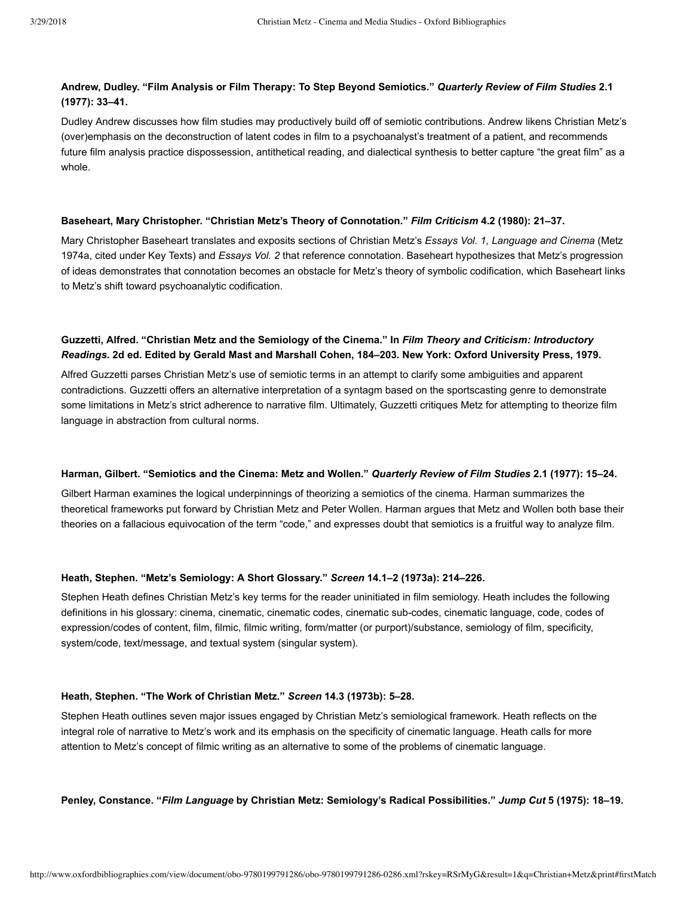# **Andrew, Dudley. "Film Analysis or Film Therapy: To Step Beyond Semiotics."** *Quarterly Review of Film Studies* **2.1 (1977): 33–41.**

Dudley Andrew discusses how film studies may productively build off of semiotic contributions. Andrew likens Christian Metz's (over)emphasis on the deconstruction of latent codes in film to a psychoanalyst's treatment of a patient, and recommends future film analysis practice dispossession, antithetical reading, and dialectical synthesis to better capture "the great film" as a whole.

#### **Baseheart, Mary Christopher. "Christian Metz's Theory of Connotation."** *Film Criticism* **4.2 (1980): 21–37.**

Mary Christopher Baseheart translates and exposits sections of Christian Metz's *Essays Vol. 1, Language and Cinema* (Metz 1974a, cited under [Key Texts](#page-2-0)) and *Essays Vol. 2* [that reference connotation. Baseheart hypothesizes that Metz's progression](http://www.oxfordbibliographies.com/view/document/obo-9780199791286/obo-9780199791286-0286.xml#obo-9780199791286-0286-bibItem-0008) of ideas demonstrates that connotation becomes an obstacle for Metz's theory of symbolic codification, which Baseheart links to Metz's shift toward psychoanalytic codification.

# **Guzzetti, Alfred. "Christian Metz and the Semiology of the Cinema." In** *Film Theory and Criticism: Introductory Readings***. 2d ed. Edited by Gerald Mast and Marshall Cohen, 184–203. New York: Oxford University Press, 1979.**

Alfred Guzzetti parses Christian Metz's use of semiotic terms in an attempt to clarify some ambiguities and apparent contradictions. Guzzetti offers an alternative interpretation of a syntagm based on the sportscasting genre to demonstrate some limitations in Metz's strict adherence to narrative film. Ultimately, Guzzetti critiques Metz for attempting to theorize film language in abstraction from cultural norms.

#### **Harman, Gilbert. "Semiotics and the Cinema: Metz and Wollen."** *Quarterly Review of Film Studies* **2.1 (1977): 15–24.**

Gilbert Harman examines the logical underpinnings of theorizing a semiotics of the cinema. Harman summarizes the theoretical frameworks put forward by Christian Metz and Peter Wollen. Harman argues that Metz and Wollen both base their theories on a fallacious equivocation of the term "code," and expresses doubt that semiotics is a fruitful way to analyze film.

#### **Heath, Stephen. "Metz's Semiology: A Short Glossary."** *Screen* **14.1–2 (1973a): 214–226.**

Stephen Heath defines Christian Metz's key terms for the reader uninitiated in film semiology. Heath includes the following definitions in his glossary: cinema, cinematic, cinematic codes, cinematic sub-codes, cinematic language, code, codes of expression/codes of content, film, filmic, filmic writing, form/matter (or purport)/substance, semiology of film, specificity, system/code, text/message, and textual system (singular system).

#### **Heath, Stephen. "The Work of Christian Metz."** *Screen* **14.3 (1973b): 5–28.**

Stephen Heath outlines seven major issues engaged by Christian Metz's semiological framework. Heath reflects on the integral role of narrative to Metz's work and its emphasis on the specificity of cinematic language. Heath calls for more attention to Metz's concept of filmic writing as an alternative to some of the problems of cinematic language.

**Penley, Constance. "***Film Language* **by Christian Metz: Semiology's Radical Possibilities."** *Jump Cut* **5 (1975): 18–19.**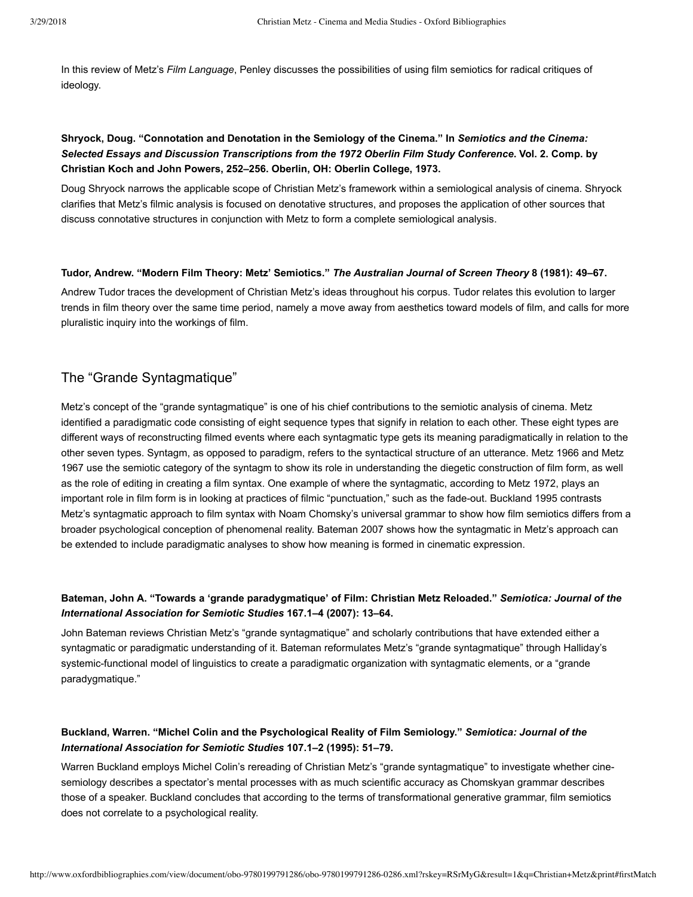In this review of Metz's *Film Language*, Penley discusses the possibilities of using film semiotics for radical critiques of ideology.

# **Shryock, Doug. "Connotation and Denotation in the Semiology of the Cinema." In** *Semiotics and the Cinema: Selected Essays and Discussion Transcriptions from the 1972 Oberlin Film Study Conference***. Vol. 2. Comp. by Christian Koch and John Powers, 252–256. Oberlin, OH: Oberlin College, 1973.**

Doug Shryock narrows the applicable scope of Christian Metz's framework within a semiological analysis of cinema. Shryock clarifies that Metz's filmic analysis is focused on denotative structures, and proposes the application of other sources that discuss connotative structures in conjunction with Metz to form a complete semiological analysis.

#### **Tudor, Andrew. "Modern Film Theory: Metz' Semiotics."** *The Australian Journal of Screen Theory* **8 (1981): 49–67.**

Andrew Tudor traces the development of Christian Metz's ideas throughout his corpus. Tudor relates this evolution to larger trends in film theory over the same time period, namely a move away from aesthetics toward models of film, and calls for more pluralistic inquiry into the workings of film.

# The "Grande Syntagmatique"

Metz's concept of the "grande syntagmatique" is one of his chief contributions to the semiotic analysis of cinema. Metz identified a paradigmatic code consisting of eight sequence types that signify in relation to each other. These eight types are different ways of reconstructing filmed events where each syntagmatic type gets its meaning paradigmatically in relation to the [other seven types. Syntagm, as opposed to paradigm, refers to the syntactical structure of an utterance. M](http://www.oxfordbibliographies.com/view/document/obo-9780199791286/obo-9780199791286-0286.xml#obo-9780199791286-0286-bibItem-0031)[etz 1966](http://www.oxfordbibliographies.com/view/document/obo-9780199791286/obo-9780199791286-0286.xml#obo-9780199791286-0286-bibItem-0030) [and Metz](http://www.oxfordbibliographies.com/view/document/obo-9780199791286/obo-9780199791286-0286.xml#obo-9780199791286-0286-bibItem-0031) 1967 use the semiotic category of the syntagm to show its role in understanding the diegetic construction of film form, as well as the role of editing in creating a film syntax. One example of where the syntagmatic, according to [Metz 1972](http://www.oxfordbibliographies.com/view/document/obo-9780199791286/obo-9780199791286-0286.xml#obo-9780199791286-0286-bibItem-0032), plays an important role in film form is in looking at practices of filmic "punctuation," such as the fade-out. [Buckland 1995](http://www.oxfordbibliographies.com/view/document/obo-9780199791286/obo-9780199791286-0286.xml#obo-9780199791286-0286-bibItem-0029) contrasts Metz's syntagmatic approach to film syntax with Noam Chomsky's universal grammar to show how film semiotics differs from a broader psychological conception of phenomenal reality. [Bateman 2007](http://www.oxfordbibliographies.com/view/document/obo-9780199791286/obo-9780199791286-0286.xml#obo-9780199791286-0286-bibItem-0028) shows how the syntagmatic in Metz's approach can be extended to include paradigmatic analyses to show how meaning is formed in cinematic expression.

# **Bateman, John A. "Towards a 'grande paradygmatique' of Film: Christian Metz Reloaded."** *Semiotica: Journal of the International Association for Semiotic Studies* **167.1–4 (2007): 13–64.**

John Bateman reviews Christian Metz's "grande syntagmatique" and scholarly contributions that have extended either a syntagmatic or paradigmatic understanding of it. Bateman reformulates Metz's "grande syntagmatique" through Halliday's systemic-functional model of linguistics to create a paradigmatic organization with syntagmatic elements, or a "grande paradygmatique."

# **Buckland, Warren. "Michel Colin and the Psychological Reality of Film Semiology."** *Semiotica: Journal of the International Association for Semiotic Studies* **107.1–2 (1995): 51–79.**

Warren Buckland employs Michel Colin's rereading of Christian Metz's "grande syntagmatique" to investigate whether cinesemiology describes a spectator's mental processes with as much scientific accuracy as Chomskyan grammar describes those of a speaker. Buckland concludes that according to the terms of transformational generative grammar, film semiotics does not correlate to a psychological reality.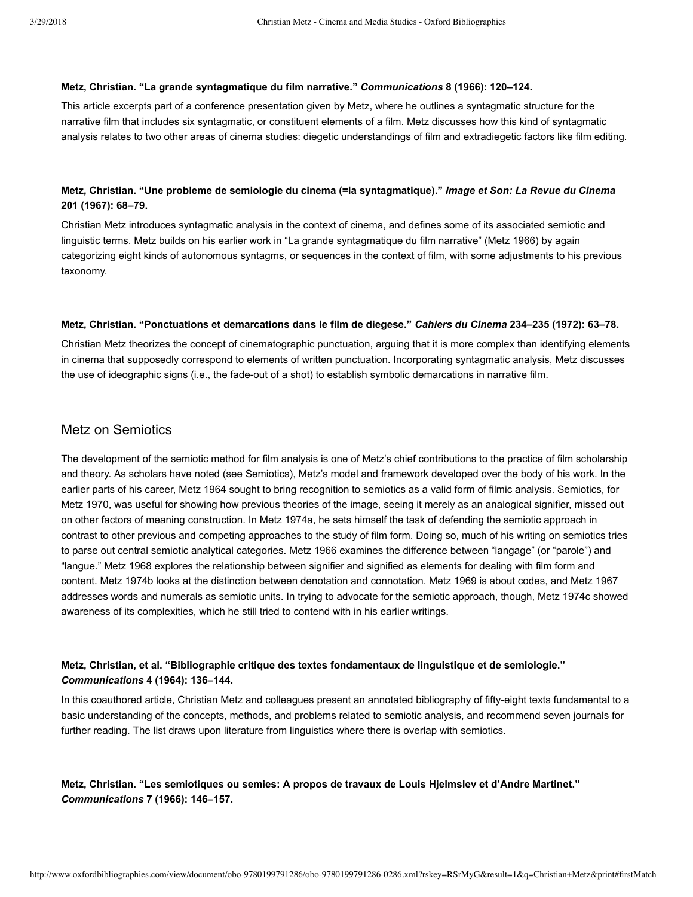#### **Metz, Christian. "La grande syntagmatique du film narrative."** *Communications* **8 (1966): 120–124.**

This article excerpts part of a conference presentation given by Metz, where he outlines a syntagmatic structure for the narrative film that includes six syntagmatic, or constituent elements of a film. Metz discusses how this kind of syntagmatic analysis relates to two other areas of cinema studies: diegetic understandings of film and extradiegetic factors like film editing.

# **Metz, Christian. "Une probleme de semiologie du cinema (=la syntagmatique)."** *Image et Son: La Revue du Cinema* **201 (1967): 68–79.**

Christian Metz introduces syntagmatic analysis in the context of cinema, and defines some of its associated semiotic and linguistic terms. Metz builds on his earlier work in "La grande syntagmatique du film narrative" ([Metz 1966](http://www.oxfordbibliographies.com/view/document/obo-9780199791286/obo-9780199791286-0286.xml#obo-9780199791286-0286-bibItem-0030)) by again categorizing eight kinds of autonomous syntagms, or sequences in the context of film, with some adjustments to his previous taxonomy.

#### **Metz, Christian. "Ponctuations et demarcations dans le film de diegese."** *Cahiers du Cinema* **234–235 (1972): 63–78.**

Christian Metz theorizes the concept of cinematographic punctuation, arguing that it is more complex than identifying elements in cinema that supposedly correspond to elements of written punctuation. Incorporating syntagmatic analysis, Metz discusses the use of ideographic signs (i.e., the fade-out of a shot) to establish symbolic demarcations in narrative film.

# Metz on Semiotics

The development of the semiotic method for film analysis is one of Metz's chief contributions to the practice of film scholarship and theory. As scholars have noted (see [Semiotics\)](#page-4-0), Metz's model and framework developed over the body of his work. In the earlier parts of his career, [Metz 1964](http://www.oxfordbibliographies.com/view/document/obo-9780199791286/obo-9780199791286-0286.xml#obo-9780199791286-0286-bibItem-0033) sought to bring recognition to semiotics as a valid form of filmic analysis. Semiotics, for [Metz 1970](http://www.oxfordbibliographies.com/view/document/obo-9780199791286/obo-9780199791286-0286.xml#obo-9780199791286-0286-bibItem-0038), was useful for showing how previous theories of the image, seeing it merely as an analogical signifier, missed out on other factors of meaning construction. In [Metz 1974a,](http://www.oxfordbibliographies.com/view/document/obo-9780199791286/obo-9780199791286-0286.xml#obo-9780199791286-0286-bibItem-0039) he sets himself the task of defending the semiotic approach in contrast to other previous and competing approaches to the study of film form. Doing so, much of his writing on semiotics tries to parse out central semiotic analytical categories. [Metz 1966](http://www.oxfordbibliographies.com/view/document/obo-9780199791286/obo-9780199791286-0286.xml#obo-9780199791286-0286-bibItem-0034) examines the difference between "langage" (or "parole") and "langue." [Metz 1968](http://www.oxfordbibliographies.com/view/document/obo-9780199791286/obo-9780199791286-0286.xml#obo-9780199791286-0286-bibItem-0036) explores the relationship between signifier and signified as elements for dealing with film form and content. [Metz 1974b](http://www.oxfordbibliographies.com/view/document/obo-9780199791286/obo-9780199791286-0286.xml#obo-9780199791286-0286-bibItem-0040) looks at the distinction between denotation and connotation. [Metz 1969](http://www.oxfordbibliographies.com/view/document/obo-9780199791286/obo-9780199791286-0286.xml#obo-9780199791286-0286-bibItem-0037) is about codes, and [Metz 1967](http://www.oxfordbibliographies.com/view/document/obo-9780199791286/obo-9780199791286-0286.xml#obo-9780199791286-0286-bibItem-0035) addresses words and numerals as semiotic units. In trying to advocate for the semiotic approach, though, [Metz 1974c](http://www.oxfordbibliographies.com/view/document/obo-9780199791286/obo-9780199791286-0286.xml#obo-9780199791286-0286-bibItem-0041) showed awareness of its complexities, which he still tried to contend with in his earlier writings.

# **Metz, Christian, et al. "Bibliographie critique des textes fondamentaux de linguistique et de semiologie."** *Communications* **4 (1964): 136–144.**

In this coauthored article, Christian Metz and colleagues present an annotated bibliography of fifty-eight texts fundamental to a basic understanding of the concepts, methods, and problems related to semiotic analysis, and recommend seven journals for further reading. The list draws upon literature from linguistics where there is overlap with semiotics.

# **Metz, Christian. "Les semiotiques ou semies: A propos de travaux de Louis Hjelmslev et d'Andre Martinet."** *Communications* **7 (1966): 146–157.**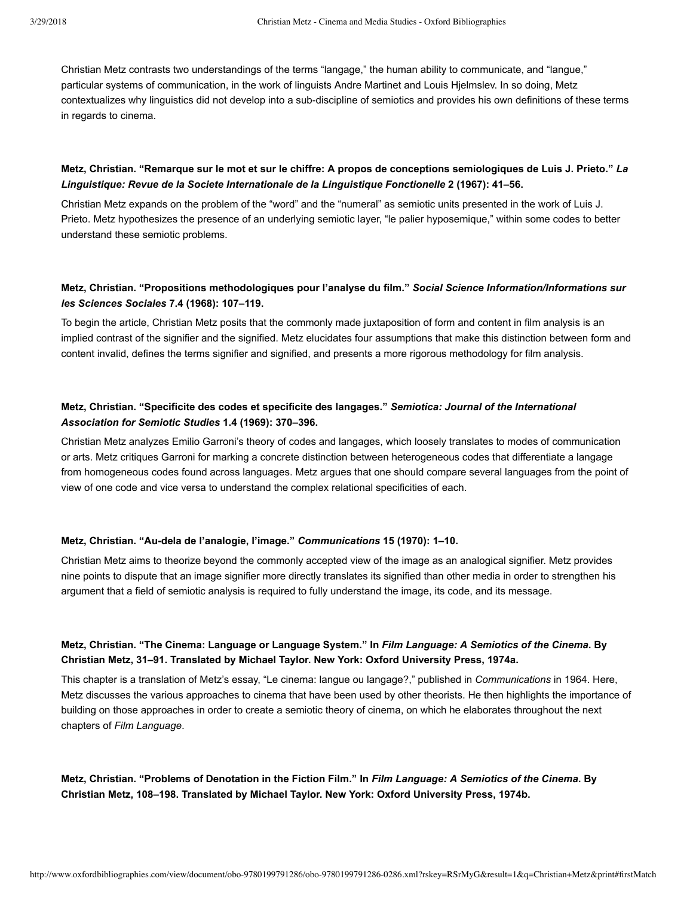Christian Metz contrasts two understandings of the terms "langage," the human ability to communicate, and "langue," particular systems of communication, in the work of linguists Andre Martinet and Louis Hjelmslev. In so doing, Metz contextualizes why linguistics did not develop into a sub-discipline of semiotics and provides his own definitions of these terms in regards to cinema.

# **Metz, Christian. "Remarque sur le mot et sur le chiffre: A propos de conceptions semiologiques de Luis J. Prieto."** *La Linguistique: Revue de la Societe Internationale de la Linguistique Fonctionelle* **2 (1967): 41–56.**

Christian Metz expands on the problem of the "word" and the "numeral" as semiotic units presented in the work of Luis J. Prieto. Metz hypothesizes the presence of an underlying semiotic layer, "le palier hyposemique," within some codes to better understand these semiotic problems.

# **Metz, Christian. "Propositions methodologiques pour l'analyse du film."** *Social Science Information/Informations sur les Sciences Sociales* **7.4 (1968): 107–119.**

To begin the article, Christian Metz posits that the commonly made juxtaposition of form and content in film analysis is an implied contrast of the signifier and the signified. Metz elucidates four assumptions that make this distinction between form and content invalid, defines the terms signifier and signified, and presents a more rigorous methodology for film analysis.

# **Metz, Christian. "Specificite des codes et specificite des langages."** *Semiotica: Journal of the International Association for Semiotic Studies* **1.4 (1969): 370–396.**

Christian Metz analyzes Emilio Garroni's theory of codes and langages, which loosely translates to modes of communication or arts. Metz critiques Garroni for marking a concrete distinction between heterogeneous codes that differentiate a langage from homogeneous codes found across languages. Metz argues that one should compare several languages from the point of view of one code and vice versa to understand the complex relational specificities of each.

#### Metz, Christian. "Au-dela de l'analogie, l'image." Communications 15 (1970): 1-10.

Christian Metz aims to theorize beyond the commonly accepted view of the image as an analogical signifier. Metz provides nine points to dispute that an image signifier more directly translates its signified than other media in order to strengthen his argument that a field of semiotic analysis is required to fully understand the image, its code, and its message.

# **Metz, Christian. "The Cinema: Language or Language System." In** *Film Language: A Semiotics of the Cinema***. By Christian Metz, 31–91. Translated by Michael Taylor. New York: Oxford University Press, 1974a.**

This chapter is a translation of Metz's essay, "Le cinema: langue ou langage?," published in *Communications* in 1964. Here, Metz discusses the various approaches to cinema that have been used by other theorists. He then highlights the importance of building on those approaches in order to create a semiotic theory of cinema, on which he elaborates throughout the next chapters of *Film Language*.

**Metz, Christian. "Problems of Denotation in the Fiction Film." In** *Film Language: A Semiotics of the Cinema***. By Christian Metz, 108–198. Translated by Michael Taylor. New York: Oxford University Press, 1974b.**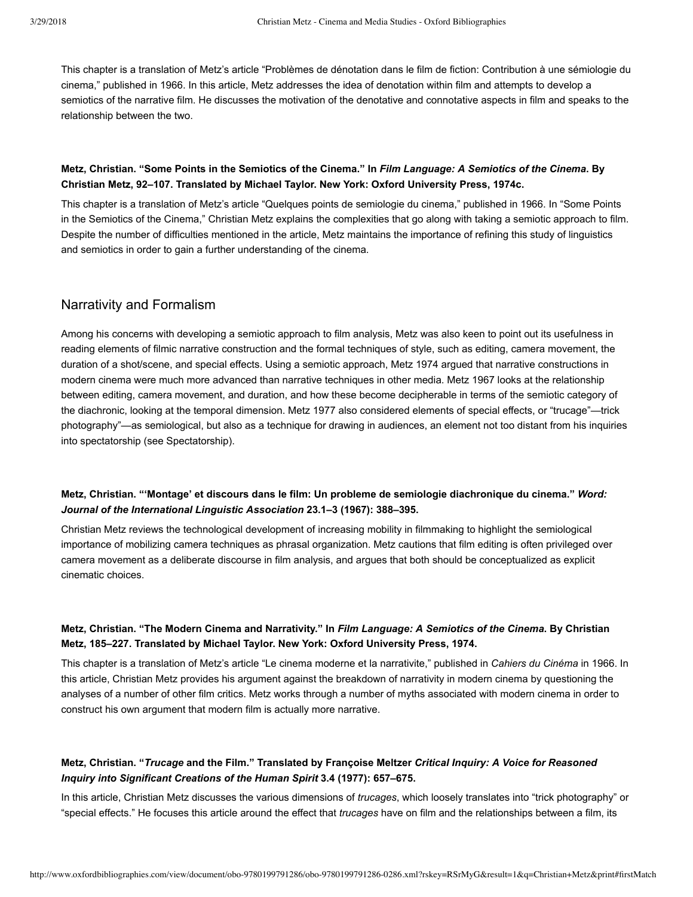This chapter is a translation of Metz's article "Problèmes de dénotation dans le film de fiction: Contribution à une sémiologie du cinema," published in 1966. In this article, Metz addresses the idea of denotation within film and attempts to develop a semiotics of the narrative film. He discusses the motivation of the denotative and connotative aspects in film and speaks to the relationship between the two.

# **Metz, Christian. "Some Points in the Semiotics of the Cinema." In** *Film Language: A Semiotics of the Cinema***. By Christian Metz, 92–107. Translated by Michael Taylor. New York: Oxford University Press, 1974c.**

This chapter is a translation of Metz's article "Quelques points de semiologie du cinema," published in 1966. In "Some Points in the Semiotics of the Cinema," Christian Metz explains the complexities that go along with taking a semiotic approach to film. Despite the number of difficulties mentioned in the article, Metz maintains the importance of refining this study of linguistics and semiotics in order to gain a further understanding of the cinema.

# Narrativity and Formalism

Among his concerns with developing a semiotic approach to film analysis, Metz was also keen to point out its usefulness in reading elements of filmic narrative construction and the formal techniques of style, such as editing, camera movement, the duration of a shot/scene, and special effects. Using a semiotic approach, [Metz 1974](http://www.oxfordbibliographies.com/view/document/obo-9780199791286/obo-9780199791286-0286.xml#obo-9780199791286-0286-bibItem-0043) argued that narrative constructions in modern cinema were much more advanced than narrative techniques in other media. [Metz 1967](http://www.oxfordbibliographies.com/view/document/obo-9780199791286/obo-9780199791286-0286.xml#obo-9780199791286-0286-bibItem-0042) looks at the relationship between editing, camera movement, and duration, and how these become decipherable in terms of the semiotic category of the diachronic, looking at the temporal dimension. [Metz 1977](http://www.oxfordbibliographies.com/view/document/obo-9780199791286/obo-9780199791286-0286.xml#obo-9780199791286-0286-bibItem-0044) also considered elements of special effects, or "trucage"—trick photography"—as semiological, but also as a technique for drawing in audiences, an element not too distant from his inquiries into spectatorship (see [Spectatorship](#page-10-0)).

# **Metz, Christian. "'Montage' et discours dans le film: Un probleme de semiologie diachronique du cinema."** *Word: Journal of the International Linguistic Association* **23.1–3 (1967): 388–395.**

Christian Metz reviews the technological development of increasing mobility in filmmaking to highlight the semiological importance of mobilizing camera techniques as phrasal organization. Metz cautions that film editing is often privileged over camera movement as a deliberate discourse in film analysis, and argues that both should be conceptualized as explicit cinematic choices.

# **Metz, Christian. "The Modern Cinema and Narrativity." In** *Film Language: A Semiotics of the Cinema***. By Christian Metz, 185–227. Translated by Michael Taylor. New York: Oxford University Press, 1974.**

This chapter is a translation of Metz's article "Le cinema moderne et la narrativite," published in *Cahiers du Cinéma* in 1966. In this article, Christian Metz provides his argument against the breakdown of narrativity in modern cinema by questioning the analyses of a number of other film critics. Metz works through a number of myths associated with modern cinema in order to construct his own argument that modern film is actually more narrative.

# **Metz, Christian. "***Trucage* **and the Film." Translated by Françoise Meltzer** *Critical Inquiry: A Voice for Reasoned Inquiry into Significant Creations of the Human Spirit* **3.4 (1977): 657–675.**

In this article, Christian Metz discusses the various dimensions of *trucages*, which loosely translates into "trick photography" or "special effects." He focuses this article around the effect that *trucages* have on film and the relationships between a film, its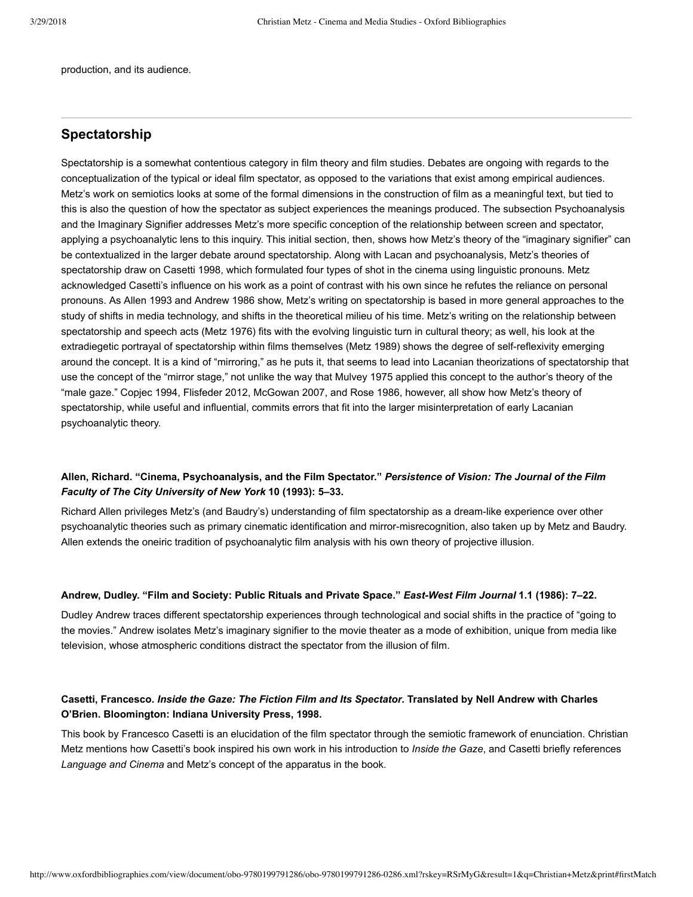production, and its audience.

# <span id="page-10-0"></span>**Spectatorship**

Spectatorship is a somewhat contentious category in film theory and film studies. Debates are ongoing with regards to the conceptualization of the typical or ideal film spectator, as opposed to the variations that exist among empirical audiences. Metz's work on semiotics looks at some of the formal dimensions in the construction of film as a meaningful text, but tied to [this is also the question of how the spectator as subject experiences the meanings produced. The subsection Psychoanalysis](#page-12-0) and the Imaginary Signifier addresses Metz's more specific conception of the relationship between screen and spectator, applying a psychoanalytic lens to this inquiry. This initial section, then, shows how Metz's theory of the "imaginary signifier" can be contextualized in the larger debate around spectatorship. Along with Lacan and psychoanalysis, Metz's theories of spectatorship draw on [Casetti 1998](http://www.oxfordbibliographies.com/view/document/obo-9780199791286/obo-9780199791286-0286.xml#obo-9780199791286-0286-bibItem-0047), which formulated four types of shot in the cinema using linguistic pronouns. Metz acknowledged Casetti's influence on his work as a point of contrast with his own since he refutes the reliance on personal pronouns. As [Allen 1993](http://www.oxfordbibliographies.com/view/document/obo-9780199791286/obo-9780199791286-0286.xml#obo-9780199791286-0286-bibItem-0045) and [Andrew 1986](http://www.oxfordbibliographies.com/view/document/obo-9780199791286/obo-9780199791286-0286.xml#obo-9780199791286-0286-bibItem-0046) show, Metz's writing on spectatorship is based in more general approaches to the study of shifts in media technology, and shifts in the theoretical milieu of his time. Metz's writing on the relationship between spectatorship and speech acts ([Metz 1976](http://www.oxfordbibliographies.com/view/document/obo-9780199791286/obo-9780199791286-0286.xml#obo-9780199791286-0286-bibItem-0051)) fits with the evolving linguistic turn in cultural theory; as well, his look at the extradiegetic portrayal of spectatorship within films themselves [\(Metz 1989](http://www.oxfordbibliographies.com/view/document/obo-9780199791286/obo-9780199791286-0286.xml#obo-9780199791286-0286-bibItem-0052)) shows the degree of self-reflexivity emerging around the concept. It is a kind of "mirroring," as he puts it, that seems to lead into Lacanian theorizations of spectatorship that use the concept of the "mirror stage," not unlike the way that [Mulvey 1975](http://www.oxfordbibliographies.com/view/document/obo-9780199791286/obo-9780199791286-0286.xml#obo-9780199791286-0286-bibItem-0053) applied this concept to the author's theory of the "male gaze." [Copjec 1994](http://www.oxfordbibliographies.com/view/document/obo-9780199791286/obo-9780199791286-0286.xml#obo-9780199791286-0286-bibItem-0048), [Flisfeder 2012](http://www.oxfordbibliographies.com/view/document/obo-9780199791286/obo-9780199791286-0286.xml#obo-9780199791286-0286-bibItem-0049), [McGowan 2007](http://www.oxfordbibliographies.com/view/document/obo-9780199791286/obo-9780199791286-0286.xml#obo-9780199791286-0286-bibItem-0050), and [Rose 1986](http://www.oxfordbibliographies.com/view/document/obo-9780199791286/obo-9780199791286-0286.xml#obo-9780199791286-0286-bibItem-0054), however, all show how Metz's theory of spectatorship, while useful and influential, commits errors that fit into the larger misinterpretation of early Lacanian psychoanalytic theory.

# **Allen, Richard. "Cinema, Psychoanalysis, and the Film Spectator."** *Persistence of Vision: The Journal of the Film Faculty of The City University of New York* **10 (1993): 5–33.**

Richard Allen privileges Metz's (and Baudry's) understanding of film spectatorship as a dream-like experience over other psychoanalytic theories such as primary cinematic identification and mirror-misrecognition, also taken up by Metz and Baudry. Allen extends the oneiric tradition of psychoanalytic film analysis with his own theory of projective illusion.

#### **Andrew, Dudley. "Film and Society: Public Rituals and Private Space."** *EastWest Film Journal* **1.1 (1986): 7–22.**

Dudley Andrew traces different spectatorship experiences through technological and social shifts in the practice of "going to the movies." Andrew isolates Metz's imaginary signifier to the movie theater as a mode of exhibition, unique from media like television, whose atmospheric conditions distract the spectator from the illusion of film.

# **Casetti, Francesco.** *Inside the Gaze: The Fiction Film and Its Spectator***. Translated by Nell Andrew with Charles O'Brien. Bloomington: Indiana University Press, 1998.**

This book by Francesco Casetti is an elucidation of the film spectator through the semiotic framework of enunciation. Christian Metz mentions how Casetti's book inspired his own work in his introduction to *Inside the Gaze*, and Casetti briefly references *Language and Cinema* and Metz's concept of the apparatus in the book.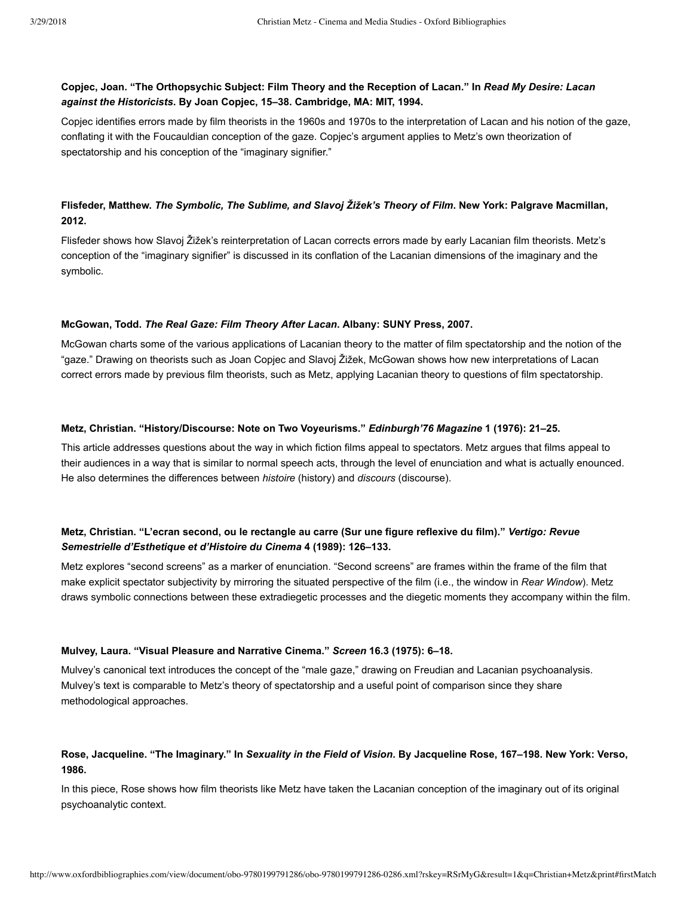# **Copjec, Joan. "The Orthopsychic Subject: Film Theory and the Reception of Lacan." In** *Read My Desire: Lacan against the Historicists***. By Joan Copjec, 15–38. Cambridge, MA: MIT, 1994.**

Copjec identifies errors made by film theorists in the 1960s and 1970s to the interpretation of Lacan and his notion of the gaze, conflating it with the Foucauldian conception of the gaze. Copjec's argument applies to Metz's own theorization of spectatorship and his conception of the "imaginary signifier."

# **Flisfeder, Matthew.** *The Symbolic, The Sublime, and Slavoj Žižek's Theory of Film***. New York: Palgrave Macmillan, 2012.**

Flisfeder shows how Slavoj Žižek's reinterpretation of Lacan corrects errors made by early Lacanian film theorists. Metz's conception of the "imaginary signifier" is discussed in its conflation of the Lacanian dimensions of the imaginary and the symbolic.

#### **McGowan, Todd.** *The Real Gaze: Film Theory After Lacan***. Albany: SUNY Press, 2007.**

McGowan charts some of the various applications of Lacanian theory to the matter of film spectatorship and the notion of the "gaze." Drawing on theorists such as Joan Copjec and Slavoj Žižek, McGowan shows how new interpretations of Lacan correct errors made by previous film theorists, such as Metz, applying Lacanian theory to questions of film spectatorship.

#### **Metz, Christian. "History/Discourse: Note on Two Voyeurisms."** *Edinburgh'76 Magazine* **1 (1976): 21–25.**

This article addresses questions about the way in which fiction films appeal to spectators. Metz argues that films appeal to their audiences in a way that is similar to normal speech acts, through the level of enunciation and what is actually enounced. He also determines the differences between *histoire* (history) and *discours* (discourse).

## **Metz, Christian. "L'ecran second, ou le rectangle au carre (Sur une figure reflexive du film)."** *Vertigo: Revue Semestrielle d'Esthetique et d'Histoire du Cinema* **4 (1989): 126–133.**

Metz explores "second screens" as a marker of enunciation. "Second screens" are frames within the frame of the film that make explicit spectator subjectivity by mirroring the situated perspective of the film (i.e., the window in *Rear Window*). Metz draws symbolic connections between these extradiegetic processes and the diegetic moments they accompany within the film.

#### **Mulvey, Laura. "Visual Pleasure and Narrative Cinema."** *Screen* **16.3 (1975): 6–18.**

Mulvey's canonical text introduces the concept of the "male gaze," drawing on Freudian and Lacanian psychoanalysis. Mulvey's text is comparable to Metz's theory of spectatorship and a useful point of comparison since they share methodological approaches.

# **Rose, Jacqueline. "The Imaginary." In** *Sexuality in the Field of Vision***. By Jacqueline Rose, 167–198. New York: Verso, 1986.**

In this piece, Rose shows how film theorists like Metz have taken the Lacanian conception of the imaginary out of its original psychoanalytic context.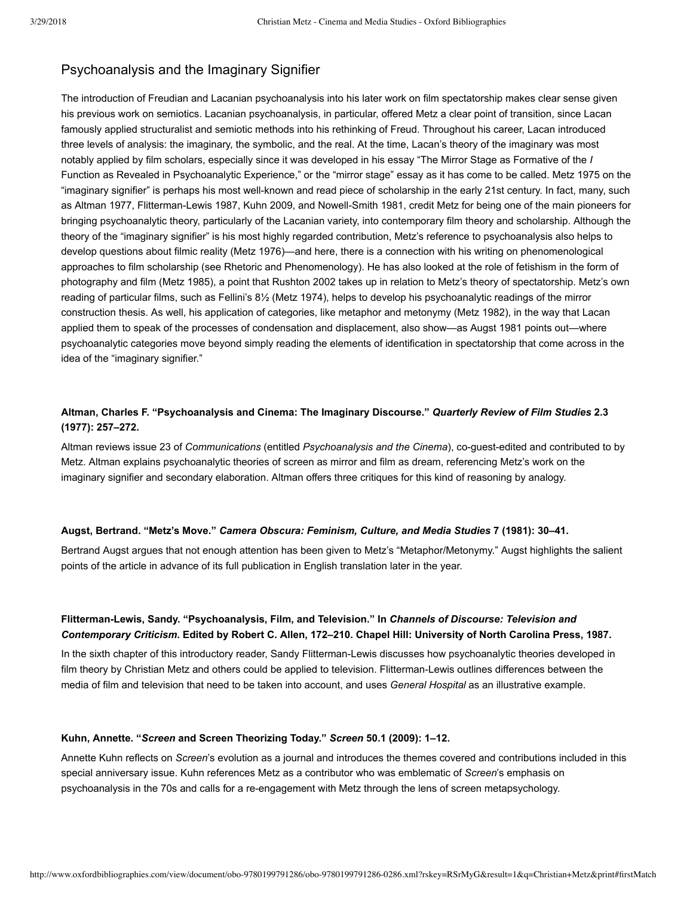# <span id="page-12-0"></span>Psychoanalysis and the Imaginary Signifier

The introduction of Freudian and Lacanian psychoanalysis into his later work on film spectatorship makes clear sense given his previous work on semiotics. Lacanian psychoanalysis, in particular, offered Metz a clear point of transition, since Lacan famously applied structuralist and semiotic methods into his rethinking of Freud. Throughout his career, Lacan introduced three levels of analysis: the imaginary, the symbolic, and the real. At the time, Lacan's theory of the imaginary was most notably applied by film scholars, especially since it was developed in his essay "The Mirror Stage as Formative of the *I* Function as Revealed in Psychoanalytic Experience," or the "mirror stage" essay as it has come to be called. [Metz 1975](http://www.oxfordbibliographies.com/view/document/obo-9780199791286/obo-9780199791286-0286.xml#obo-9780199791286-0286-bibItem-0060) on the "imaginary signifier" is perhaps his most well-known and read piece of scholarship in the early 21st century. In fact, many, such as [Altman 1977](http://www.oxfordbibliographies.com/view/document/obo-9780199791286/obo-9780199791286-0286.xml#obo-9780199791286-0286-bibItem-0055), Flitterman-Lewis 1987, [Kuhn 2009,](http://www.oxfordbibliographies.com/view/document/obo-9780199791286/obo-9780199791286-0286.xml#obo-9780199791286-0286-bibItem-0058) and Nowell-Smith 1981, credit Metz for being one of the main pioneers for bringing psychoanalytic theory, particularly of the Lacanian variety, into contemporary film theory and scholarship. Although the theory of the "imaginary signifier" is his most highly regarded contribution, Metz's reference to psychoanalysis also helps to develop questions about filmic reality [\(Metz 1976](http://www.oxfordbibliographies.com/view/document/obo-9780199791286/obo-9780199791286-0286.xml#obo-9780199791286-0286-bibItem-0061))—and here, there is a connection with his writing on phenomenological approaches to film scholarship (see [Rhetoric and Phenomenology](#page-14-0)). He has also looked at the role of fetishism in the form of photography and film [\(Metz 1985](http://www.oxfordbibliographies.com/view/document/obo-9780199791286/obo-9780199791286-0286.xml#obo-9780199791286-0286-bibItem-0063)), a point that [Rushton 2002](http://www.oxfordbibliographies.com/view/document/obo-9780199791286/obo-9780199791286-0286.xml#obo-9780199791286-0286-bibItem-0065) takes up in relation to Metz's theory of spectatorship. Metz's own reading of particular films, such as Fellini's 8½ ([Metz 1974\)](http://www.oxfordbibliographies.com/view/document/obo-9780199791286/obo-9780199791286-0286.xml#obo-9780199791286-0286-bibItem-0059), helps to develop his psychoanalytic readings of the mirror construction thesis. As well, his application of categories, like metaphor and metonymy ([Metz 1982](http://www.oxfordbibliographies.com/view/document/obo-9780199791286/obo-9780199791286-0286.xml#obo-9780199791286-0286-bibItem-0062)), in the way that Lacan applied them to speak of the processes of condensation and displacement, also show—as [Augst 1981](http://www.oxfordbibliographies.com/view/document/obo-9780199791286/obo-9780199791286-0286.xml#obo-9780199791286-0286-bibItem-0056) points out—where psychoanalytic categories move beyond simply reading the elements of identification in spectatorship that come across in the idea of the "imaginary signifier."

# **Altman, Charles F. "Psychoanalysis and Cinema: The Imaginary Discourse."** *Quarterly Review of Film Studies* **2.3 (1977): 257–272.**

Altman reviews issue 23 of *Communications* (entitled *Psychoanalysis and the Cinema*), co-guest-edited and contributed to by Metz. Altman explains psychoanalytic theories of screen as mirror and film as dream, referencing Metz's work on the imaginary signifier and secondary elaboration. Altman offers three critiques for this kind of reasoning by analogy.

#### **Augst, Bertrand. "Metz's Move."** *Camera Obscura: Feminism, Culture, and Media Studies* **7 (1981): 30–41.**

Bertrand Augst argues that not enough attention has been given to Metz's "Metaphor/Metonymy." Augst highlights the salient points of the article in advance of its full publication in English translation later in the year.

# **FlittermanLewis, Sandy. "Psychoanalysis, Film, and Television." In** *Channels of Discourse: Television and Contemporary Criticism***. Edited by Robert C. Allen, 172–210. Chapel Hill: University of North Carolina Press, 1987.**

In the sixth chapter of this introductory reader, Sandy Flitterman-Lewis discusses how psychoanalytic theories developed in film theory by Christian Metz and others could be applied to television. Flitterman-Lewis outlines differences between the media of film and television that need to be taken into account, and uses *General Hospital* as an illustrative example.

#### **Kuhn, Annette. "***Screen* **and Screen Theorizing Today."** *Screen* **50.1 (2009): 1–12.**

Annette Kuhn reflects on *Screen*'s evolution as a journal and introduces the themes covered and contributions included in this special anniversary issue. Kuhn references Metz as a contributor who was emblematic of *Screen*'s emphasis on psychoanalysis in the 70s and calls for a re-engagement with Metz through the lens of screen metapsychology.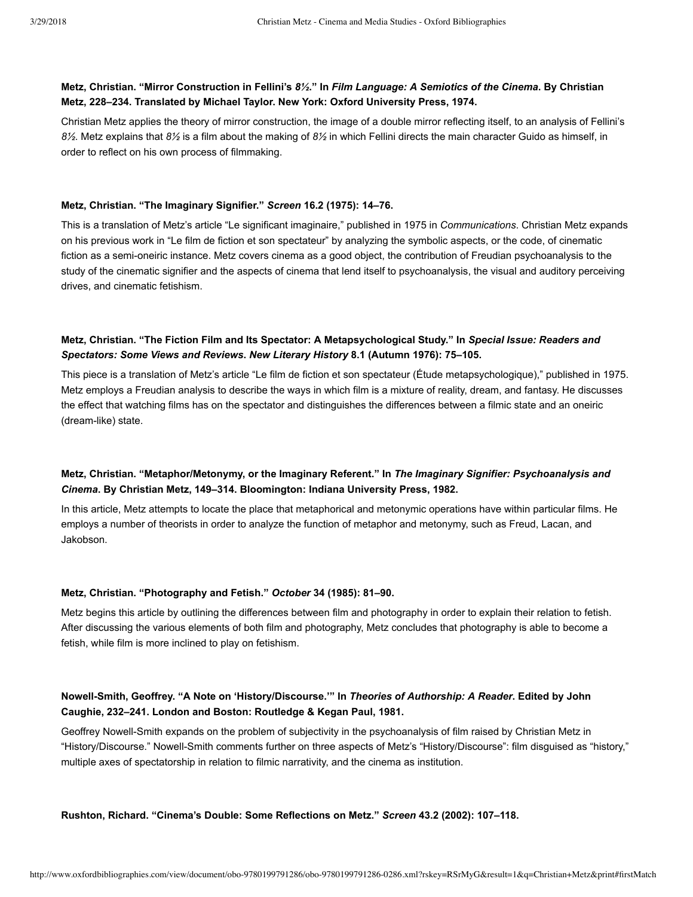# **Metz, Christian. "Mirror Construction in Fellini's** *8½***." In** *Film Language: A Semiotics of the Cinema***. By Christian Metz, 228–234. Translated by Michael Taylor. New York: Oxford University Press, 1974.**

Christian Metz applies the theory of mirror construction, the image of a double mirror reflecting itself, to an analysis of Fellini's *8½*. Metz explains that *8½* is a film about the making of *8½* in which Fellini directs the main character Guido as himself, in order to reflect on his own process of filmmaking.

#### **Metz, Christian. "The Imaginary Signifier."** *Screen* **16.2 (1975): 14–76.**

This is a translation of Metz's article "Le significant imaginaire," published in 1975 in *Communications*. Christian Metz expands on his previous work in "Le film de fiction et son spectateur" by analyzing the symbolic aspects, or the code, of cinematic fiction as a semi-oneiric instance. Metz covers cinema as a good object, the contribution of Freudian psychoanalysis to the study of the cinematic signifier and the aspects of cinema that lend itself to psychoanalysis, the visual and auditory perceiving drives, and cinematic fetishism.

# **Metz, Christian. "The Fiction Film and Its Spectator: A Metapsychological Study." In** *Special Issue: Readers and Spectators: Some Views and Reviews***.** *New Literary History* **8.1 (Autumn 1976): 75–105.**

This piece is a translation of Metz's article "Le film de fiction et son spectateur (Étude metapsychologique)," published in 1975. Metz employs a Freudian analysis to describe the ways in which film is a mixture of reality, dream, and fantasy. He discusses the effect that watching films has on the spectator and distinguishes the differences between a filmic state and an oneiric (dream-like) state.

# **Metz, Christian. "Metaphor/Metonymy, or the Imaginary Referent." In** *The Imaginary Signifier: Psychoanalysis and Cinema***. By Christian Metz, 149–314. Bloomington: Indiana University Press, 1982.**

In this article, Metz attempts to locate the place that metaphorical and metonymic operations have within particular films. He employs a number of theorists in order to analyze the function of metaphor and metonymy, such as Freud, Lacan, and Jakobson.

#### **Metz, Christian. "Photography and Fetish."** *October* **34 (1985): 81–90.**

Metz begins this article by outlining the differences between film and photography in order to explain their relation to fetish. After discussing the various elements of both film and photography, Metz concludes that photography is able to become a fetish, while film is more inclined to play on fetishism.

# **NowellSmith, Geoffrey. "A Note on 'History/Discourse.'" In** *Theories of Authorship: A Reader***. Edited by John Caughie, 232–241. London and Boston: Routledge & Kegan Paul, 1981.**

Geoffrey Nowell-Smith expands on the problem of subjectivity in the psychoanalysis of film raised by Christian Metz in "History/Discourse." Nowell-Smith comments further on three aspects of Metz's "History/Discourse": film disguised as "history," multiple axes of spectatorship in relation to filmic narrativity, and the cinema as institution.

#### **Rushton, Richard. "Cinema's Double: Some Reflections on Metz."** *Screen* **43.2 (2002): 107–118.**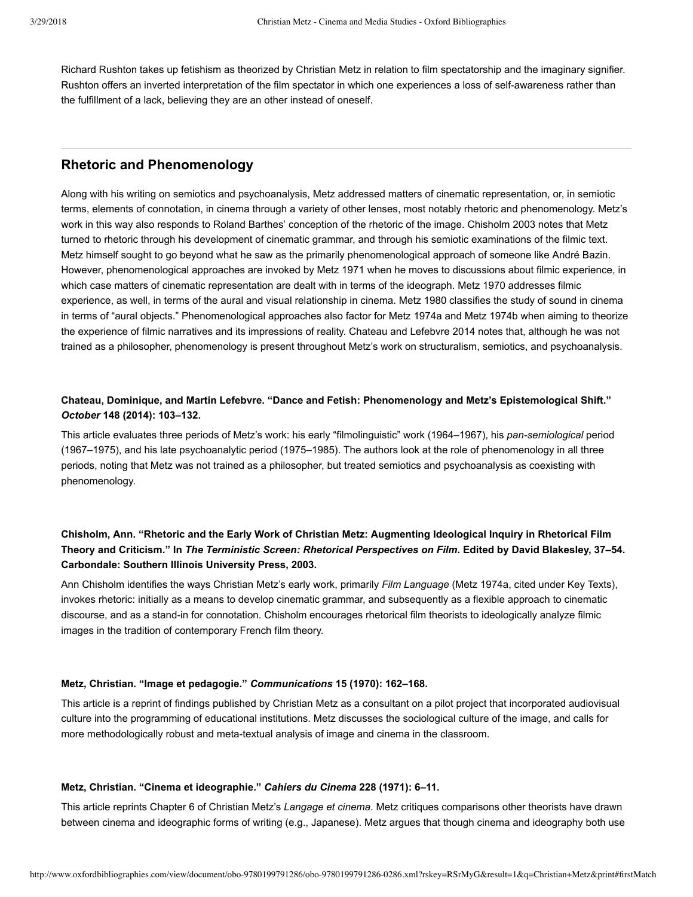Richard Rushton takes up fetishism as theorized by Christian Metz in relation to film spectatorship and the imaginary signifier. Rushton offers an inverted interpretation of the film spectator in which one experiences a loss of self-awareness rather than the fulfillment of a lack, believing they are an other instead of oneself.

# <span id="page-14-0"></span>**Rhetoric and Phenomenology**

Along with his writing on semiotics and psychoanalysis, Metz addressed matters of cinematic representation, or, in semiotic terms, elements of connotation, in cinema through a variety of other lenses, most notably rhetoric and phenomenology. Metz's work in this way also responds to Roland Barthes' conception of the rhetoric of the image. [Chisholm 2003](http://www.oxfordbibliographies.com/view/document/obo-9780199791286/obo-9780199791286-0286.xml#obo-9780199791286-0286-bibItem-0067) notes that Metz turned to rhetoric through his development of cinematic grammar, and through his semiotic examinations of the filmic text. Metz himself sought to go beyond what he saw as the primarily phenomenological approach of someone like André Bazin. However, phenomenological approaches are invoked by [Metz 1971](http://www.oxfordbibliographies.com/view/document/obo-9780199791286/obo-9780199791286-0286.xml#obo-9780199791286-0286-bibItem-0069) when he moves to discussions about filmic experience, in which case matters of cinematic representation are dealt with in terms of the ideograph. [Metz 1970](http://www.oxfordbibliographies.com/view/document/obo-9780199791286/obo-9780199791286-0286.xml#obo-9780199791286-0286-bibItem-0068) addresses filmic experience, as well, in terms of the aural and visual relationship in cinema. [Metz 1980](http://www.oxfordbibliographies.com/view/document/obo-9780199791286/obo-9780199791286-0286.xml#obo-9780199791286-0286-bibItem-0072) classifies the study of sound in cinema in terms of "aural objects." Phenomenological approaches also factor for [Metz 1974a](http://www.oxfordbibliographies.com/view/document/obo-9780199791286/obo-9780199791286-0286.xml#obo-9780199791286-0286-bibItem-0070) and [Metz 1974b](http://www.oxfordbibliographies.com/view/document/obo-9780199791286/obo-9780199791286-0286.xml#obo-9780199791286-0286-bibItem-0071) when aiming to theorize the experience of filmic narratives and its impressions of reality. [Chateau and Lefebvre 2014](http://www.oxfordbibliographies.com/view/document/obo-9780199791286/obo-9780199791286-0286.xml#obo-9780199791286-0286-bibItem-0066) notes that, although he was not trained as a philosopher, phenomenology is present throughout Metz's work on structuralism, semiotics, and psychoanalysis.

# **Chateau, Dominique, and Martin Lefebvre. "Dance and Fetish: Phenomenology and Metz's Epistemological Shift."** *October* **148 (2014): 103–132.**

This article evaluates three periods of Metz's work: his early "filmolinguistic" work (1964–1967), his *pansemiological* period (1967–1975), and his late psychoanalytic period (1975–1985). The authors look at the role of phenomenology in all three periods, noting that Metz was not trained as a philosopher, but treated semiotics and psychoanalysis as coexisting with phenomenology.

# **Chisholm, Ann. "Rhetoric and the Early Work of Christian Metz: Augmenting Ideological Inquiry in Rhetorical Film Theory and Criticism." In** *The Terministic Screen: Rhetorical Perspectives on Film***. Edited by David Blakesley, 37–54. Carbondale: Southern Illinois University Press, 2003.**

Ann Chisholm identifies the ways Christian Metz's early work, primarily *Film Language* ([Metz 1974a](http://www.oxfordbibliographies.com/view/document/obo-9780199791286/obo-9780199791286-0286.xml#obo-9780199791286-0286-bibItem-0008), cited under [Key Texts\)](#page-2-0), invokes rhetoric: initially as a means to develop cinematic grammar, and subsequently as a flexible approach to cinematic discourse, and as a stand-in for connotation. Chisholm encourages rhetorical film theorists to ideologically analyze filmic images in the tradition of contemporary French film theory.

#### **Metz, Christian. "Image et pedagogie."** *Communications* **15 (1970): 162–168.**

This article is a reprint of findings published by Christian Metz as a consultant on a pilot project that incorporated audiovisual culture into the programming of educational institutions. Metz discusses the sociological culture of the image, and calls for more methodologically robust and meta-textual analysis of image and cinema in the classroom.

#### **Metz, Christian. "Cinema et ideographie."** *Cahiers du Cinema* **228 (1971): 6–11.**

This article reprints Chapter 6 of Christian Metz's *Langage et cinema*. Metz critiques comparisons other theorists have drawn between cinema and ideographic forms of writing (e.g., Japanese). Metz argues that though cinema and ideography both use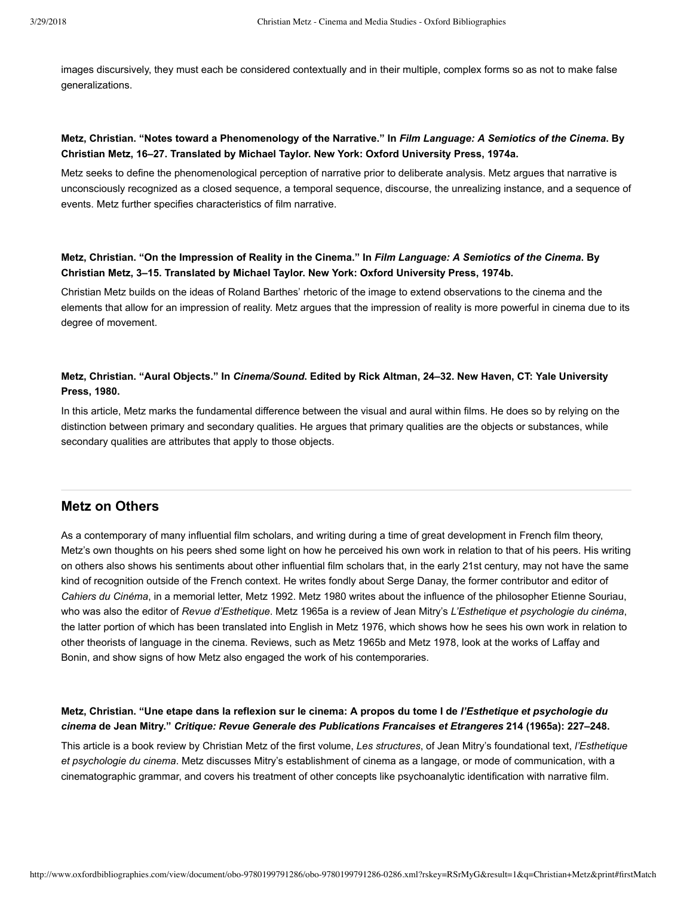images discursively, they must each be considered contextually and in their multiple, complex forms so as not to make false generalizations.

# **Metz, Christian. "Notes toward a Phenomenology of the Narrative." In** *Film Language: A Semiotics of the Cinema***. By Christian Metz, 16–27. Translated by Michael Taylor. New York: Oxford University Press, 1974a.**

Metz seeks to define the phenomenological perception of narrative prior to deliberate analysis. Metz argues that narrative is unconsciously recognized as a closed sequence, a temporal sequence, discourse, the unrealizing instance, and a sequence of events. Metz further specifies characteristics of film narrative.

# **Metz, Christian. "On the Impression of Reality in the Cinema." In** *Film Language: A Semiotics of the Cinema***. By Christian Metz, 3–15. Translated by Michael Taylor. New York: Oxford University Press, 1974b.**

Christian Metz builds on the ideas of Roland Barthes' rhetoric of the image to extend observations to the cinema and the elements that allow for an impression of reality. Metz argues that the impression of reality is more powerful in cinema due to its degree of movement.

# **Metz, Christian. "Aural Objects." In** *Cinema/Sound***. Edited by Rick Altman, 24–32. New Haven, CT: Yale University Press, 1980.**

In this article, Metz marks the fundamental difference between the visual and aural within films. He does so by relying on the distinction between primary and secondary qualities. He argues that primary qualities are the objects or substances, while secondary qualities are attributes that apply to those objects.

# **Metz on Others**

As a contemporary of many influential film scholars, and writing during a time of great development in French film theory, Metz's own thoughts on his peers shed some light on how he perceived his own work in relation to that of his peers. His writing on others also shows his sentiments about other influential film scholars that, in the early 21st century, may not have the same kind of recognition outside of the French context. He writes fondly about Serge Danay, the former contributor and editor of *Cahiers du Cinéma*, in a memorial letter, [Metz 1992](http://www.oxfordbibliographies.com/view/document/obo-9780199791286/obo-9780199791286-0286.xml#obo-9780199791286-0286-bibItem-0078). [Metz 1980](http://www.oxfordbibliographies.com/view/document/obo-9780199791286/obo-9780199791286-0286.xml#obo-9780199791286-0286-bibItem-0077) writes about the influence of the philosopher Etienne Souriau, who was also the editor of *Revue d'Esthetique*. [Metz 1965a](http://www.oxfordbibliographies.com/view/document/obo-9780199791286/obo-9780199791286-0286.xml#obo-9780199791286-0286-bibItem-0073) is a review of Jean Mitry's *L'Esthetique et psychologie du cinéma*, the latter portion of which has been translated into English in [Metz 1976](http://www.oxfordbibliographies.com/view/document/obo-9780199791286/obo-9780199791286-0286.xml#obo-9780199791286-0286-bibItem-0075), which shows how he sees his own work in relation to other theorists of language in the cinema. Reviews, such as [Metz 1965b](http://www.oxfordbibliographies.com/view/document/obo-9780199791286/obo-9780199791286-0286.xml#obo-9780199791286-0286-bibItem-0074) and [Metz 1978,](http://www.oxfordbibliographies.com/view/document/obo-9780199791286/obo-9780199791286-0286.xml#obo-9780199791286-0286-bibItem-0076) look at the works of Laffay and Bonin, and show signs of how Metz also engaged the work of his contemporaries.

# **Metz, Christian. "Une etape dans la reflexion sur le cinema: A propos du tome I de** *l'Esthetique et psychologie du cinema* **de Jean Mitry."** *Critique: Revue Generale des Publications Francaises et Etrangeres* **214 (1965a): 227–248.**

This article is a book review by Christian Metz of the first volume, *Les structures*, of Jean Mitry's foundational text, *l'Esthetique et psychologie du cinema*. Metz discusses Mitry's establishment of cinema as a langage, or mode of communication, with a cinematographic grammar, and covers his treatment of other concepts like psychoanalytic identification with narrative film.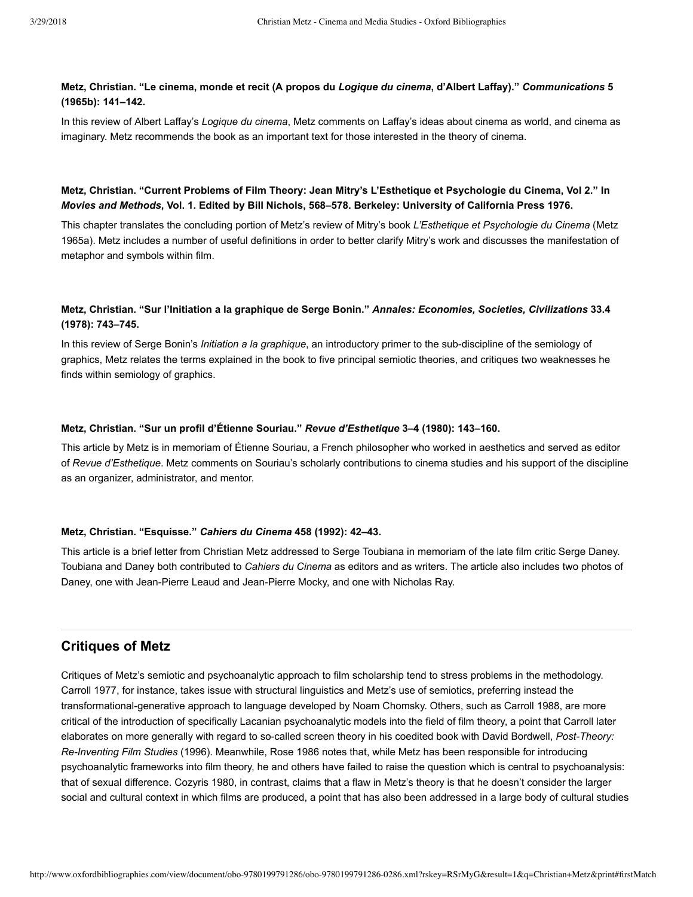# **Metz, Christian. "Le cinema, monde et recit (A propos du** *Logique du cinema***, d'Albert Laffay)."** *Communications* **5 (1965b): 141–142.**

In this review of Albert Laffay's *Logique du cinema*, Metz comments on Laffay's ideas about cinema as world, and cinema as imaginary. Metz recommends the book as an important text for those interested in the theory of cinema.

# **Metz, Christian. "Current Problems of Film Theory: Jean Mitry's L'Esthetique et Psychologie du Cinema, Vol 2." In** *Movies and Methods***, Vol. 1. Edited by Bill Nichols, 568–578. Berkeley: University of California Press 1976.**

This chapter translates the concluding portion of Metz's review of Mitry's book *L'Esthetique et Psychologie du Cinema* (Metz [1965a\). Metz includes a number of useful definitions in order to better clarify Mitry's work and discusses the manifestation of](http://www.oxfordbibliographies.com/view/document/obo-9780199791286/obo-9780199791286-0286.xml#obo-9780199791286-0286-bibItem-0073) metaphor and symbols within film.

# **Metz, Christian. "Sur l'Initiation a la graphique de Serge Bonin."** *Annales: Economies, Societies, Civilizations* **33.4 (1978): 743–745.**

In this review of Serge Bonin's *Initiation a la graphique*, an introductory primer to the sub-discipline of the semiology of graphics, Metz relates the terms explained in the book to five principal semiotic theories, and critiques two weaknesses he finds within semiology of graphics.

#### **Metz, Christian. "Sur un profil d'Étienne Souriau."** *Revue d'Esthetique* **3–4 (1980): 143–160.**

This article by Metz is in memoriam of Étienne Souriau, a French philosopher who worked in aesthetics and served as editor of *Revue d'Esthetique*. Metz comments on Souriau's scholarly contributions to cinema studies and his support of the discipline as an organizer, administrator, and mentor.

#### **Metz, Christian. "Esquisse."** *Cahiers du Cinema* **458 (1992): 42–43.**

This article is a brief letter from Christian Metz addressed to Serge Toubiana in memoriam of the late film critic Serge Daney. Toubiana and Daney both contributed to *Cahiers du Cinema* as editors and as writers. The article also includes two photos of Daney, one with Jean-Pierre Leaud and Jean-Pierre Mocky, and one with Nicholas Ray.

# **Critiques of Metz**

Critiques of Metz's semiotic and psychoanalytic approach to film scholarship tend to stress problems in the methodology. [Carroll 1977](http://www.oxfordbibliographies.com/view/document/obo-9780199791286/obo-9780199791286-0286.xml#obo-9780199791286-0286-bibItem-0079), for instance, takes issue with structural linguistics and Metz's use of semiotics, preferring instead the transformational-generative approach to language developed by Noam Chomsky. Others, such as [Carroll 1988](http://www.oxfordbibliographies.com/view/document/obo-9780199791286/obo-9780199791286-0286.xml#obo-9780199791286-0286-bibItem-0080), are more critical of the introduction of specifically Lacanian psychoanalytic models into the field of film theory, a point that Carroll later elaborates on more generally with regard to so-called screen theory in his coedited book with David Bordwell, Post-Theory: *ReInventing Film Studies* (1996). Meanwhile, [Rose 1986](http://www.oxfordbibliographies.com/view/document/obo-9780199791286/obo-9780199791286-0286.xml#obo-9780199791286-0286-bibItem-0083) notes that, while Metz has been responsible for introducing psychoanalytic frameworks into film theory, he and others have failed to raise the question which is central to psychoanalysis: that of sexual difference. [Cozyris 1980,](http://www.oxfordbibliographies.com/view/document/obo-9780199791286/obo-9780199791286-0286.xml#obo-9780199791286-0286-bibItem-0081) in contrast, claims that a flaw in Metz's theory is that he doesn't consider the larger social and cultural context in which films are produced, a point that has also been addressed in a large body of cultural studies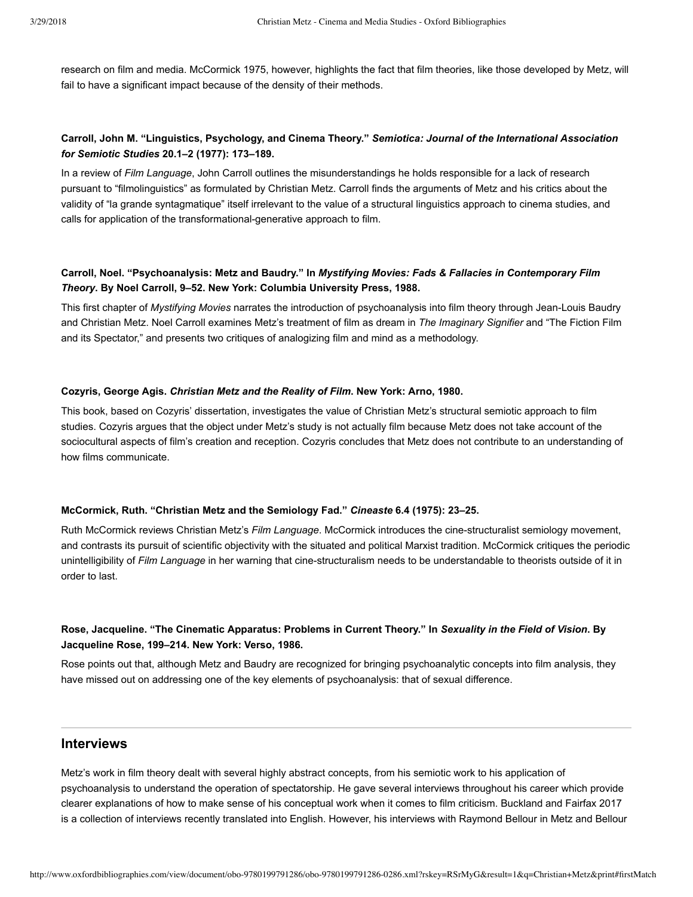research on film and media. [McCormick 1975](http://www.oxfordbibliographies.com/view/document/obo-9780199791286/obo-9780199791286-0286.xml#obo-9780199791286-0286-bibItem-0082), however, highlights the fact that film theories, like those developed by Metz, will fail to have a significant impact because of the density of their methods.

# **Carroll, John M. "Linguistics, Psychology, and Cinema Theory."** *Semiotica: Journal of the International Association for Semiotic Studies* **20.1–2 (1977): 173–189.**

In a review of *Film Language*, John Carroll outlines the misunderstandings he holds responsible for a lack of research pursuant to "filmolinguistics" as formulated by Christian Metz. Carroll finds the arguments of Metz and his critics about the validity of "la grande syntagmatique" itself irrelevant to the value of a structural linguistics approach to cinema studies, and calls for application of the transformational-generative approach to film.

# **Carroll, Noel. "Psychoanalysis: Metz and Baudry." In** *Mystifying Movies: Fads & Fallacies in Contemporary Film Theory***. By Noel Carroll, 9–52. New York: Columbia University Press, 1988.**

This first chapter of *Mystifying Movies* narrates the introduction of psychoanalysis into film theory through JeanLouis Baudry and Christian Metz. Noel Carroll examines Metz's treatment of film as dream in *The Imaginary Signifier* and "The Fiction Film and its Spectator," and presents two critiques of analogizing film and mind as a methodology.

#### **Cozyris, George Agis.** *Christian Metz and the Reality of Film***. New York: Arno, 1980.**

This book, based on Cozyris' dissertation, investigates the value of Christian Metz's structural semiotic approach to film studies. Cozyris argues that the object under Metz's study is not actually film because Metz does not take account of the sociocultural aspects of film's creation and reception. Cozyris concludes that Metz does not contribute to an understanding of how films communicate.

#### **McCormick, Ruth. "Christian Metz and the Semiology Fad."** *Cineaste* **6.4 (1975): 23–25.**

Ruth McCormick reviews Christian Metz's *Film Language*. McCormick introduces the cinestructuralist semiology movement, and contrasts its pursuit of scientific objectivity with the situated and political Marxist tradition. McCormick critiques the periodic unintelligibility of *Film Language* in her warning that cinestructuralism needs to be understandable to theorists outside of it in order to last.

# **Rose, Jacqueline. "The Cinematic Apparatus: Problems in Current Theory." In** *Sexuality in the Field of Vision***. By Jacqueline Rose, 199–214. New York: Verso, 1986.**

Rose points out that, although Metz and Baudry are recognized for bringing psychoanalytic concepts into film analysis, they have missed out on addressing one of the key elements of psychoanalysis: that of sexual difference.

# **Interviews**

Metz's work in film theory dealt with several highly abstract concepts, from his semiotic work to his application of psychoanalysis to understand the operation of spectatorship. He gave several interviews throughout his career which provide clearer explanations of how to make sense of his conceptual work when it comes to film criticism. [Buckland and Fairfax 2017](http://www.oxfordbibliographies.com/view/document/obo-9780199791286/obo-9780199791286-0286.xml#obo-9780199791286-0286-bibItem-0084) [is a collection of interviews recently translated into English. However, his interviews with Raymond Bellour in Metz and Bellour](http://www.oxfordbibliographies.com/view/document/obo-9780199791286/obo-9780199791286-0286.xml#obo-9780199791286-0286-bibItem-0085)